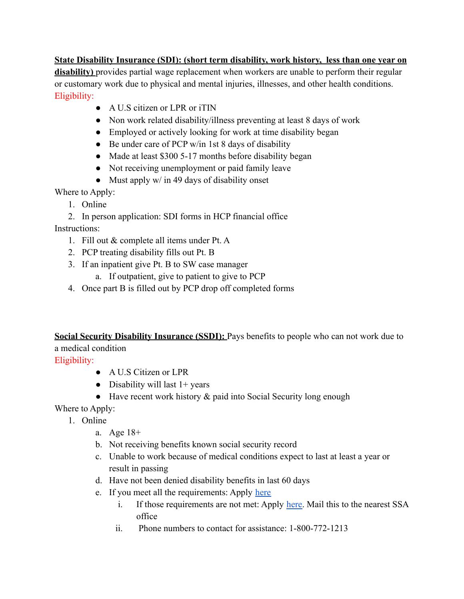**State Disability Insurance (SDI): (short term disability, work history, less than one year on disability)** provides partial wage replacement when workers are unable to perform their regular or customary work due to physical and mental injuries, illnesses, and other health conditions. Eligibility:

- A U.S citizen or LPR or iTIN
- Non work related disability/illness preventing at least 8 days of work
- Employed or actively looking for work at time disability began
- Be under care of PCP w/in 1st 8 days of disability
- Made at least \$300 5-17 months before disability began
- Not receiving unemployment or paid family leave
- Must apply  $w/$  in 49 days of disability onset

Where to Apply:

- 1. Online
- 2. In person application: SDI forms in HCP financial office

Instructions:

- 1. Fill out & complete all items under Pt. A
- 2. PCP treating disability fills out Pt. B
- 3. If an inpatient give Pt. B to SW case manager
	- a. If outpatient, give to patient to give to PCP
- 4. Once part B is filled out by PCP drop off completed forms

**Social Security Disability Insurance (SSDI):** Pays benefits to people who can not work due to a medical condition

Eligibility:

- A U.S Citizen or LPR
- Disability will last  $1+$  years
- Have recent work history & paid into Social Security long enough

Where to Apply:

- 1. Online
	- a. Age 18+
	- b. Not receiving benefits known social security record
	- c. Unable to work because of medical conditions expect to last at least a year or result in passing
	- d. Have not been denied disability benefits in last 60 days
	- e. If you meet all the requirements: Apply [here](https://secure.ssa.gov/iClaim/dib)
		- i. If those requirements are not met: Apply [here.](https://drive.google.com/file/d/1QrF5SshAuKosqY6sOl0VoXdRjA5Cm-l3/view) Mail this to the nearest SSA office
		- ii. Phone numbers to contact for assistance: 1-800-772-1213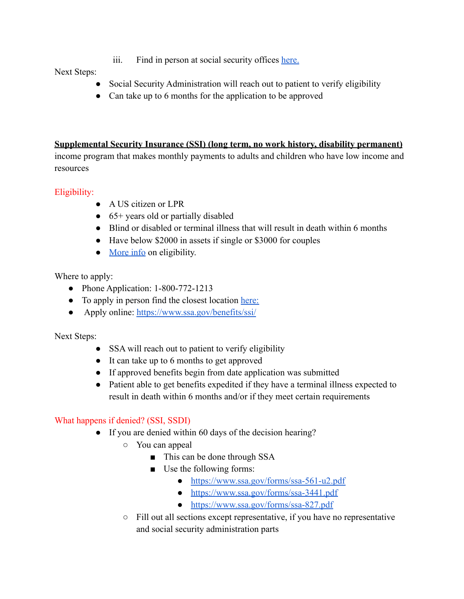iii. Find in person at social security offices [here.](https://secure.ssa.gov/ICON/main.jsp)

Next Steps:

- Social Security Administration will reach out to patient to verify eligibility
- Can take up to 6 months for the application to be approved

#### **Supplemental Security Insurance (SSI) (long term, no work history, disability permanent)**

income program that makes monthly payments to adults and children who have low income and resources

## Eligibility:

- A US citizen or LPR
- 65+ years old or partially disabled
- Blind or disabled or terminal illness that will result in death within 6 months
- Have below \$2000 in assets if single or \$3000 for couples
- [More info](https://www.ssa.gov/ssi/text-eligibility-ussi.htm) on eligibility.

Where to apply:

- Phone Application: 1-800-772-1213
- To apply in person find the closest location [here:](https://secure.ssa.gov/ICON/main.jsp)
- Apply online: <https://www.ssa.gov/benefits/ssi/>

Next Steps:

- SSA will reach out to patient to verify eligibility
- It can take up to 6 months to get approved
- If approved benefits begin from date application was submitted
- Patient able to get benefits expedited if they have a terminal illness expected to result in death within 6 months and/or if they meet certain requirements

# What happens if denied? (SSI, SSDI)

- If you are denied within 60 days of the decision hearing?
	- You can appeal
		- This can be done through SSA
		- Use the following forms:
			- <https://www.ssa.gov/forms/ssa-561-u2.pdf>
			- <https://www.ssa.gov/forms/ssa-3441.pdf>
			- <https://www.ssa.gov/forms/ssa-827.pdf>
	- Fill out all sections except representative, if you have no representative and social security administration parts